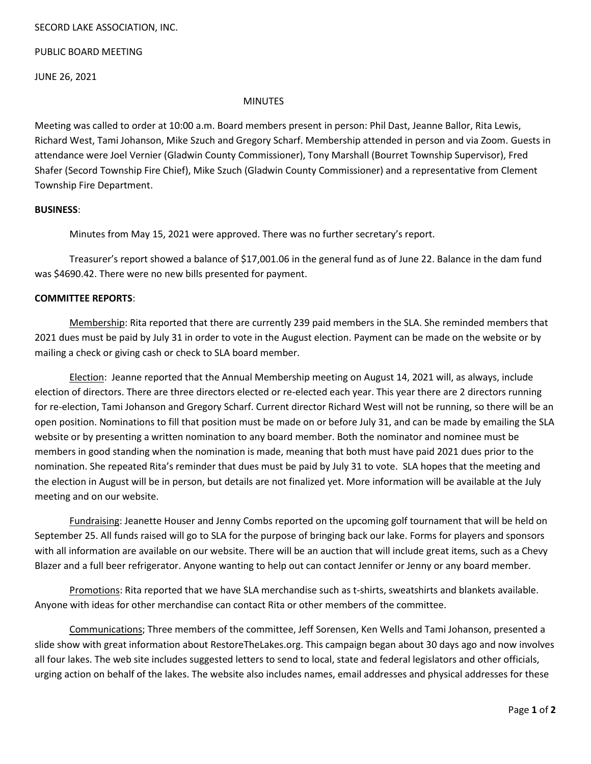## SECORD LAKE ASSOCIATION, INC.

PUBLIC BOARD MEETING

JUNE 26, 2021

### MINUTES

Meeting was called to order at 10:00 a.m. Board members present in person: Phil Dast, Jeanne Ballor, Rita Lewis, Richard West, Tami Johanson, Mike Szuch and Gregory Scharf. Membership attended in person and via Zoom. Guests in attendance were Joel Vernier (Gladwin County Commissioner), Tony Marshall (Bourret Township Supervisor), Fred Shafer (Secord Township Fire Chief), Mike Szuch (Gladwin County Commissioner) and a representative from Clement Township Fire Department.

### **BUSINESS**:

Minutes from May 15, 2021 were approved. There was no further secretary's report.

Treasurer's report showed a balance of \$17,001.06 in the general fund as of June 22. Balance in the dam fund was \$4690.42. There were no new bills presented for payment.

## **COMMITTEE REPORTS**:

Membership: Rita reported that there are currently 239 paid members in the SLA. She reminded members that 2021 dues must be paid by July 31 in order to vote in the August election. Payment can be made on the website or by mailing a check or giving cash or check to SLA board member.

Election: Jeanne reported that the Annual Membership meeting on August 14, 2021 will, as always, include election of directors. There are three directors elected or re-elected each year. This year there are 2 directors running for re-election, Tami Johanson and Gregory Scharf. Current director Richard West will not be running, so there will be an open position. Nominations to fill that position must be made on or before July 31, and can be made by emailing the SLA website or by presenting a written nomination to any board member. Both the nominator and nominee must be members in good standing when the nomination is made, meaning that both must have paid 2021 dues prior to the nomination. She repeated Rita's reminder that dues must be paid by July 31 to vote. SLA hopes that the meeting and the election in August will be in person, but details are not finalized yet. More information will be available at the July meeting and on our website.

Fundraising: Jeanette Houser and Jenny Combs reported on the upcoming golf tournament that will be held on September 25. All funds raised will go to SLA for the purpose of bringing back our lake. Forms for players and sponsors with all information are available on our website. There will be an auction that will include great items, such as a Chevy Blazer and a full beer refrigerator. Anyone wanting to help out can contact Jennifer or Jenny or any board member.

Promotions: Rita reported that we have SLA merchandise such as t-shirts, sweatshirts and blankets available. Anyone with ideas for other merchandise can contact Rita or other members of the committee.

Communications; Three members of the committee, Jeff Sorensen, Ken Wells and Tami Johanson, presented a slide show with great information about RestoreTheLakes.org. This campaign began about 30 days ago and now involves all four lakes. The web site includes suggested letters to send to local, state and federal legislators and other officials, urging action on behalf of the lakes. The website also includes names, email addresses and physical addresses for these